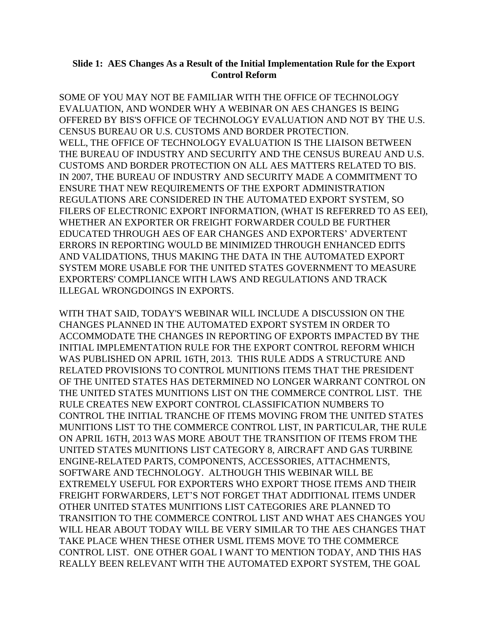#### **Slide 1: AES Changes As a Result of the Initial Implementation Rule for the Export Control Reform**

SOME OF YOU MAY NOT BE FAMILIAR WITH THE OFFICE OF TECHNOLOGY EVALUATION, AND WONDER WHY A WEBINAR ON AES CHANGES IS BEING OFFERED BY BIS'S OFFICE OF TECHNOLOGY EVALUATION AND NOT BY THE U.S. CENSUS BUREAU OR U.S. CUSTOMS AND BORDER PROTECTION. WELL, THE OFFICE OF TECHNOLOGY EVALUATION IS THE LIAISON BETWEEN THE BUREAU OF INDUSTRY AND SECURITY AND THE CENSUS BUREAU AND U.S. CUSTOMS AND BORDER PROTECTION ON ALL AES MATTERS RELATED TO BIS. IN 2007, THE BUREAU OF INDUSTRY AND SECURITY MADE A COMMITMENT TO ENSURE THAT NEW REQUIREMENTS OF THE EXPORT ADMINISTRATION REGULATIONS ARE CONSIDERED IN THE AUTOMATED EXPORT SYSTEM, SO FILERS OF ELECTRONIC EXPORT INFORMATION, (WHAT IS REFERRED TO AS EEI), WHETHER AN EXPORTER OR FREIGHT FORWARDER COULD BE FURTHER EDUCATED THROUGH AES OF EAR CHANGES AND EXPORTERS' ADVERTENT ERRORS IN REPORTING WOULD BE MINIMIZED THROUGH ENHANCED EDITS AND VALIDATIONS, THUS MAKING THE DATA IN THE AUTOMATED EXPORT SYSTEM MORE USABLE FOR THE UNITED STATES GOVERNMENT TO MEASURE EXPORTERS' COMPLIANCE WITH LAWS AND REGULATIONS AND TRACK ILLEGAL WRONGDOINGS IN EXPORTS.

WITH THAT SAID, TODAY'S WEBINAR WILL INCLUDE A DISCUSSION ON THE CHANGES PLANNED IN THE AUTOMATED EXPORT SYSTEM IN ORDER TO ACCOMMODATE THE CHANGES IN REPORTING OF EXPORTS IMPACTED BY THE INITIAL IMPLEMENTATION RULE FOR THE EXPORT CONTROL REFORM WHICH WAS PUBLISHED ON APRIL 16TH, 2013. THIS RULE ADDS A STRUCTURE AND RELATED PROVISIONS TO CONTROL MUNITIONS ITEMS THAT THE PRESIDENT OF THE UNITED STATES HAS DETERMINED NO LONGER WARRANT CONTROL ON THE UNITED STATES MUNITIONS LIST ON THE COMMERCE CONTROL LIST. THE RULE CREATES NEW EXPORT CONTROL CLASSIFICATION NUMBERS TO CONTROL THE INITIAL TRANCHE OF ITEMS MOVING FROM THE UNITED STATES MUNITIONS LIST TO THE COMMERCE CONTROL LIST, IN PARTICULAR, THE RULE ON APRIL 16TH, 2013 WAS MORE ABOUT THE TRANSITION OF ITEMS FROM THE UNITED STATES MUNITIONS LIST CATEGORY 8, AIRCRAFT AND GAS TURBINE ENGINE-RELATED PARTS, COMPONENTS, ACCESSORIES, ATTACHMENTS, SOFTWARE AND TECHNOLOGY. ALTHOUGH THIS WEBINAR WILL BE EXTREMELY USEFUL FOR EXPORTERS WHO EXPORT THOSE ITEMS AND THEIR FREIGHT FORWARDERS, LET'S NOT FORGET THAT ADDITIONAL ITEMS UNDER OTHER UNITED STATES MUNITIONS LIST CATEGORIES ARE PLANNED TO TRANSITION TO THE COMMERCE CONTROL LIST AND WHAT AES CHANGES YOU WILL HEAR ABOUT TODAY WILL BE VERY SIMILAR TO THE AES CHANGES THAT TAKE PLACE WHEN THESE OTHER USML ITEMS MOVE TO THE COMMERCE CONTROL LIST. ONE OTHER GOAL I WANT TO MENTION TODAY, AND THIS HAS REALLY BEEN RELEVANT WITH THE AUTOMATED EXPORT SYSTEM, THE GOAL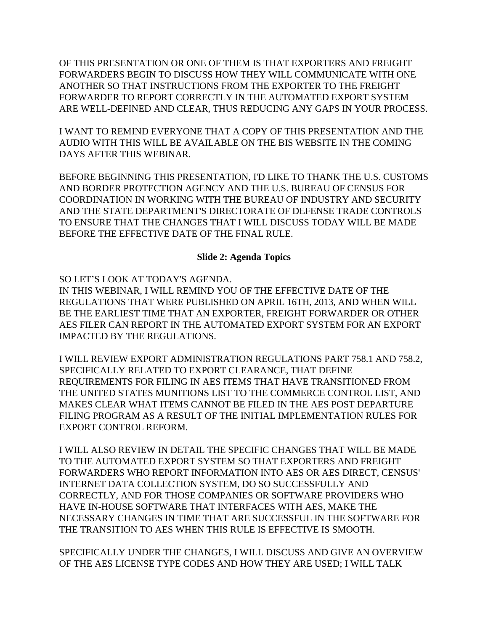OF THIS PRESENTATION OR ONE OF THEM IS THAT EXPORTERS AND FREIGHT FORWARDERS BEGIN TO DISCUSS HOW THEY WILL COMMUNICATE WITH ONE ANOTHER SO THAT INSTRUCTIONS FROM THE EXPORTER TO THE FREIGHT FORWARDER TO REPORT CORRECTLY IN THE AUTOMATED EXPORT SYSTEM ARE WELL-DEFINED AND CLEAR, THUS REDUCING ANY GAPS IN YOUR PROCESS.

I WANT TO REMIND EVERYONE THAT A COPY OF THIS PRESENTATION AND THE AUDIO WITH THIS WILL BE AVAILABLE ON THE BIS WEBSITE IN THE COMING DAYS AFTER THIS WEBINAR.

BEFORE BEGINNING THIS PRESENTATION, I'D LIKE TO THANK THE U.S. CUSTOMS AND BORDER PROTECTION AGENCY AND THE U.S. BUREAU OF CENSUS FOR COORDINATION IN WORKING WITH THE BUREAU OF INDUSTRY AND SECURITY AND THE STATE DEPARTMENT'S DIRECTORATE OF DEFENSE TRADE CONTROLS TO ENSURE THAT THE CHANGES THAT I WILL DISCUSS TODAY WILL BE MADE BEFORE THE EFFECTIVE DATE OF THE FINAL RULE.

#### **Slide 2: Agenda Topics**

SO LET'S LOOK AT TODAY'S AGENDA. IN THIS WEBINAR, I WILL REMIND YOU OF THE EFFECTIVE DATE OF THE REGULATIONS THAT WERE PUBLISHED ON APRIL 16TH, 2013, AND WHEN WILL BE THE EARLIEST TIME THAT AN EXPORTER, FREIGHT FORWARDER OR OTHER AES FILER CAN REPORT IN THE AUTOMATED EXPORT SYSTEM FOR AN EXPORT IMPACTED BY THE REGULATIONS.

I WILL REVIEW EXPORT ADMINISTRATION REGULATIONS PART 758.1 AND 758.2, SPECIFICALLY RELATED TO EXPORT CLEARANCE, THAT DEFINE REQUIREMENTS FOR FILING IN AES ITEMS THAT HAVE TRANSITIONED FROM THE UNITED STATES MUNITIONS LIST TO THE COMMERCE CONTROL LIST, AND MAKES CLEAR WHAT ITEMS CANNOT BE FILED IN THE AES POST DEPARTURE FILING PROGRAM AS A RESULT OF THE INITIAL IMPLEMENTATION RULES FOR EXPORT CONTROL REFORM.

I WILL ALSO REVIEW IN DETAIL THE SPECIFIC CHANGES THAT WILL BE MADE TO THE AUTOMATED EXPORT SYSTEM SO THAT EXPORTERS AND FREIGHT FORWARDERS WHO REPORT INFORMATION INTO AES OR AES DIRECT, CENSUS' INTERNET DATA COLLECTION SYSTEM, DO SO SUCCESSFULLY AND CORRECTLY, AND FOR THOSE COMPANIES OR SOFTWARE PROVIDERS WHO HAVE IN-HOUSE SOFTWARE THAT INTERFACES WITH AES, MAKE THE NECESSARY CHANGES IN TIME THAT ARE SUCCESSFUL IN THE SOFTWARE FOR THE TRANSITION TO AES WHEN THIS RULE IS EFFECTIVE IS SMOOTH.

SPECIFICALLY UNDER THE CHANGES, I WILL DISCUSS AND GIVE AN OVERVIEW OF THE AES LICENSE TYPE CODES AND HOW THEY ARE USED; I WILL TALK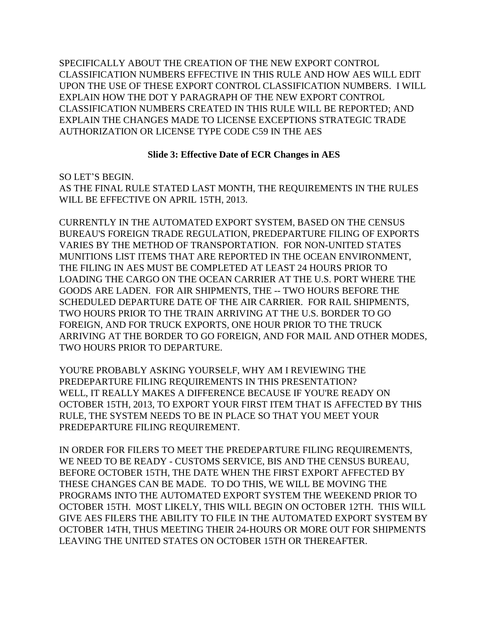SPECIFICALLY ABOUT THE CREATION OF THE NEW EXPORT CONTROL CLASSIFICATION NUMBERS EFFECTIVE IN THIS RULE AND HOW AES WILL EDIT UPON THE USE OF THESE EXPORT CONTROL CLASSIFICATION NUMBERS. I WILL EXPLAIN HOW THE DOT Y PARAGRAPH OF THE NEW EXPORT CONTROL CLASSIFICATION NUMBERS CREATED IN THIS RULE WILL BE REPORTED; AND EXPLAIN THE CHANGES MADE TO LICENSE EXCEPTIONS STRATEGIC TRADE AUTHORIZATION OR LICENSE TYPE CODE C59 IN THE AES

#### **Slide 3: Effective Date of ECR Changes in AES**

SO LET'S BEGIN.

AS THE FINAL RULE STATED LAST MONTH, THE REQUIREMENTS IN THE RULES WILL BE EFFECTIVE ON APRIL 15TH, 2013.

CURRENTLY IN THE AUTOMATED EXPORT SYSTEM, BASED ON THE CENSUS BUREAU'S FOREIGN TRADE REGULATION, PREDEPARTURE FILING OF EXPORTS VARIES BY THE METHOD OF TRANSPORTATION. FOR NON-UNITED STATES MUNITIONS LIST ITEMS THAT ARE REPORTED IN THE OCEAN ENVIRONMENT, THE FILING IN AES MUST BE COMPLETED AT LEAST 24 HOURS PRIOR TO LOADING THE CARGO ON THE OCEAN CARRIER AT THE U.S. PORT WHERE THE GOODS ARE LADEN. FOR AIR SHIPMENTS, THE -- TWO HOURS BEFORE THE SCHEDULED DEPARTURE DATE OF THE AIR CARRIER. FOR RAIL SHIPMENTS, TWO HOURS PRIOR TO THE TRAIN ARRIVING AT THE U.S. BORDER TO GO FOREIGN, AND FOR TRUCK EXPORTS, ONE HOUR PRIOR TO THE TRUCK ARRIVING AT THE BORDER TO GO FOREIGN, AND FOR MAIL AND OTHER MODES, TWO HOURS PRIOR TO DEPARTURE.

YOU'RE PROBABLY ASKING YOURSELF, WHY AM I REVIEWING THE PREDEPARTURE FILING REQUIREMENTS IN THIS PRESENTATION? WELL, IT REALLY MAKES A DIFFERENCE BECAUSE IF YOU'RE READY ON OCTOBER 15TH, 2013, TO EXPORT YOUR FIRST ITEM THAT IS AFFECTED BY THIS RULE, THE SYSTEM NEEDS TO BE IN PLACE SO THAT YOU MEET YOUR PREDEPARTURE FILING REQUIREMENT.

IN ORDER FOR FILERS TO MEET THE PREDEPARTURE FILING REQUIREMENTS, WE NEED TO BE READY - CUSTOMS SERVICE, BIS AND THE CENSUS BUREAU, BEFORE OCTOBER 15TH, THE DATE WHEN THE FIRST EXPORT AFFECTED BY THESE CHANGES CAN BE MADE. TO DO THIS, WE WILL BE MOVING THE PROGRAMS INTO THE AUTOMATED EXPORT SYSTEM THE WEEKEND PRIOR TO OCTOBER 15TH. MOST LIKELY, THIS WILL BEGIN ON OCTOBER 12TH. THIS WILL GIVE AES FILERS THE ABILITY TO FILE IN THE AUTOMATED EXPORT SYSTEM BY OCTOBER 14TH, THUS MEETING THEIR 24-HOURS OR MORE OUT FOR SHIPMENTS LEAVING THE UNITED STATES ON OCTOBER 15TH OR THEREAFTER.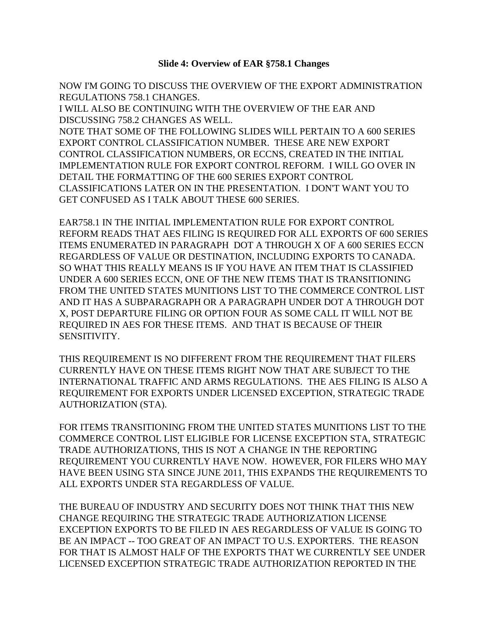#### **Slide 4: Overview of EAR §758.1 Changes**

NOW I'M GOING TO DISCUSS THE OVERVIEW OF THE EXPORT ADMINISTRATION REGULATIONS 758.1 CHANGES.

I WILL ALSO BE CONTINUING WITH THE OVERVIEW OF THE EAR AND DISCUSSING 758.2 CHANGES AS WELL.

NOTE THAT SOME OF THE FOLLOWING SLIDES WILL PERTAIN TO A 600 SERIES EXPORT CONTROL CLASSIFICATION NUMBER. THESE ARE NEW EXPORT CONTROL CLASSIFICATION NUMBERS, OR ECCNS, CREATED IN THE INITIAL IMPLEMENTATION RULE FOR EXPORT CONTROL REFORM. I WILL GO OVER IN DETAIL THE FORMATTING OF THE 600 SERIES EXPORT CONTROL CLASSIFICATIONS LATER ON IN THE PRESENTATION. I DON'T WANT YOU TO GET CONFUSED AS I TALK ABOUT THESE 600 SERIES.

EAR758.1 IN THE INITIAL IMPLEMENTATION RULE FOR EXPORT CONTROL REFORM READS THAT AES FILING IS REQUIRED FOR ALL EXPORTS OF 600 SERIES ITEMS ENUMERATED IN PARAGRAPH DOT A THROUGH X OF A 600 SERIES ECCN REGARDLESS OF VALUE OR DESTINATION, INCLUDING EXPORTS TO CANADA. SO WHAT THIS REALLY MEANS IS IF YOU HAVE AN ITEM THAT IS CLASSIFIED UNDER A 600 SERIES ECCN, ONE OF THE NEW ITEMS THAT IS TRANSITIONING FROM THE UNITED STATES MUNITIONS LIST TO THE COMMERCE CONTROL LIST AND IT HAS A SUBPARAGRAPH OR A PARAGRAPH UNDER DOT A THROUGH DOT X, POST DEPARTURE FILING OR OPTION FOUR AS SOME CALL IT WILL NOT BE REQUIRED IN AES FOR THESE ITEMS. AND THAT IS BECAUSE OF THEIR SENSITIVITY.

THIS REQUIREMENT IS NO DIFFERENT FROM THE REQUIREMENT THAT FILERS CURRENTLY HAVE ON THESE ITEMS RIGHT NOW THAT ARE SUBJECT TO THE INTERNATIONAL TRAFFIC AND ARMS REGULATIONS. THE AES FILING IS ALSO A REQUIREMENT FOR EXPORTS UNDER LICENSED EXCEPTION, STRATEGIC TRADE AUTHORIZATION (STA).

FOR ITEMS TRANSITIONING FROM THE UNITED STATES MUNITIONS LIST TO THE COMMERCE CONTROL LIST ELIGIBLE FOR LICENSE EXCEPTION STA, STRATEGIC TRADE AUTHORIZATIONS, THIS IS NOT A CHANGE IN THE REPORTING REQUIREMENT YOU CURRENTLY HAVE NOW. HOWEVER, FOR FILERS WHO MAY HAVE BEEN USING STA SINCE JUNE 2011, THIS EXPANDS THE REQUIREMENTS TO ALL EXPORTS UNDER STA REGARDLESS OF VALUE.

THE BUREAU OF INDUSTRY AND SECURITY DOES NOT THINK THAT THIS NEW CHANGE REQUIRING THE STRATEGIC TRADE AUTHORIZATION LICENSE EXCEPTION EXPORTS TO BE FILED IN AES REGARDLESS OF VALUE IS GOING TO BE AN IMPACT -- TOO GREAT OF AN IMPACT TO U.S. EXPORTERS. THE REASON FOR THAT IS ALMOST HALF OF THE EXPORTS THAT WE CURRENTLY SEE UNDER LICENSED EXCEPTION STRATEGIC TRADE AUTHORIZATION REPORTED IN THE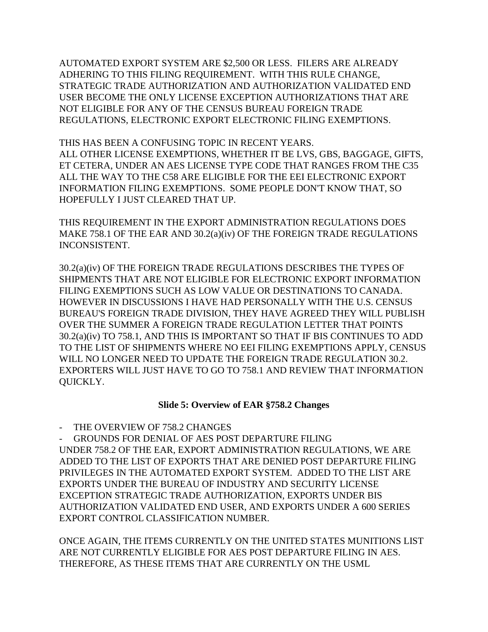AUTOMATED EXPORT SYSTEM ARE \$2,500 OR LESS. FILERS ARE ALREADY ADHERING TO THIS FILING REQUIREMENT. WITH THIS RULE CHANGE, STRATEGIC TRADE AUTHORIZATION AND AUTHORIZATION VALIDATED END USER BECOME THE ONLY LICENSE EXCEPTION AUTHORIZATIONS THAT ARE NOT ELIGIBLE FOR ANY OF THE CENSUS BUREAU FOREIGN TRADE REGULATIONS, ELECTRONIC EXPORT ELECTRONIC FILING EXEMPTIONS.

THIS HAS BEEN A CONFUSING TOPIC IN RECENT YEARS. ALL OTHER LICENSE EXEMPTIONS, WHETHER IT BE LVS, GBS, BAGGAGE, GIFTS, ET CETERA, UNDER AN AES LICENSE TYPE CODE THAT RANGES FROM THE C35 ALL THE WAY TO THE C58 ARE ELIGIBLE FOR THE EEI ELECTRONIC EXPORT INFORMATION FILING EXEMPTIONS. SOME PEOPLE DON'T KNOW THAT, SO HOPEFULLY I JUST CLEARED THAT UP.

THIS REQUIREMENT IN THE EXPORT ADMINISTRATION REGULATIONS DOES MAKE 758.1 OF THE EAR AND 30.2(a)(iv) OF THE FOREIGN TRADE REGULATIONS INCONSISTENT.

30.2(a)(iv) OF THE FOREIGN TRADE REGULATIONS DESCRIBES THE TYPES OF SHIPMENTS THAT ARE NOT ELIGIBLE FOR ELECTRONIC EXPORT INFORMATION FILING EXEMPTIONS SUCH AS LOW VALUE OR DESTINATIONS TO CANADA. HOWEVER IN DISCUSSIONS I HAVE HAD PERSONALLY WITH THE U.S. CENSUS BUREAU'S FOREIGN TRADE DIVISION, THEY HAVE AGREED THEY WILL PUBLISH OVER THE SUMMER A FOREIGN TRADE REGULATION LETTER THAT POINTS 30.2(a)(iv) TO 758.1, AND THIS IS IMPORTANT SO THAT IF BIS CONTINUES TO ADD TO THE LIST OF SHIPMENTS WHERE NO EEI FILING EXEMPTIONS APPLY, CENSUS WILL NO LONGER NEED TO UPDATE THE FOREIGN TRADE REGULATION 30.2. EXPORTERS WILL JUST HAVE TO GO TO 758.1 AND REVIEW THAT INFORMATION QUICKLY.

#### **Slide 5: Overview of EAR §758.2 Changes**

- THE OVERVIEW OF 758.2 CHANGES

- GROUNDS FOR DENIAL OF AES POST DEPARTURE FILING UNDER 758.2 OF THE EAR, EXPORT ADMINISTRATION REGULATIONS, WE ARE ADDED TO THE LIST OF EXPORTS THAT ARE DENIED POST DEPARTURE FILING PRIVILEGES IN THE AUTOMATED EXPORT SYSTEM. ADDED TO THE LIST ARE EXPORTS UNDER THE BUREAU OF INDUSTRY AND SECURITY LICENSE EXCEPTION STRATEGIC TRADE AUTHORIZATION, EXPORTS UNDER BIS AUTHORIZATION VALIDATED END USER, AND EXPORTS UNDER A 600 SERIES EXPORT CONTROL CLASSIFICATION NUMBER.

ONCE AGAIN, THE ITEMS CURRENTLY ON THE UNITED STATES MUNITIONS LIST ARE NOT CURRENTLY ELIGIBLE FOR AES POST DEPARTURE FILING IN AES. THEREFORE, AS THESE ITEMS THAT ARE CURRENTLY ON THE USML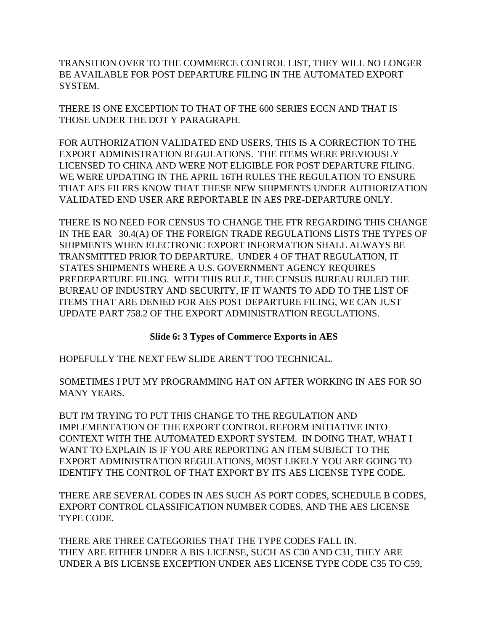TRANSITION OVER TO THE COMMERCE CONTROL LIST, THEY WILL NO LONGER BE AVAILABLE FOR POST DEPARTURE FILING IN THE AUTOMATED EXPORT SYSTEM.

THERE IS ONE EXCEPTION TO THAT OF THE 600 SERIES ECCN AND THAT IS THOSE UNDER THE DOT Y PARAGRAPH.

FOR AUTHORIZATION VALIDATED END USERS, THIS IS A CORRECTION TO THE EXPORT ADMINISTRATION REGULATIONS. THE ITEMS WERE PREVIOUSLY LICENSED TO CHINA AND WERE NOT ELIGIBLE FOR POST DEPARTURE FILING. WE WERE UPDATING IN THE APRIL 16TH RULES THE REGULATION TO ENSURE THAT AES FILERS KNOW THAT THESE NEW SHIPMENTS UNDER AUTHORIZATION VALIDATED END USER ARE REPORTABLE IN AES PRE-DEPARTURE ONLY.

THERE IS NO NEED FOR CENSUS TO CHANGE THE FTR REGARDING THIS CHANGE IN THE EAR 30.4(A) OF THE FOREIGN TRADE REGULATIONS LISTS THE TYPES OF SHIPMENTS WHEN ELECTRONIC EXPORT INFORMATION SHALL ALWAYS BE TRANSMITTED PRIOR TO DEPARTURE. UNDER 4 OF THAT REGULATION, IT STATES SHIPMENTS WHERE A U.S. GOVERNMENT AGENCY REQUIRES PREDEPARTURE FILING. WITH THIS RULE, THE CENSUS BUREAU RULED THE BUREAU OF INDUSTRY AND SECURITY, IF IT WANTS TO ADD TO THE LIST OF ITEMS THAT ARE DENIED FOR AES POST DEPARTURE FILING, WE CAN JUST UPDATE PART 758.2 OF THE EXPORT ADMINISTRATION REGULATIONS.

## **Slide 6: 3 Types of Commerce Exports in AES**

HOPEFULLY THE NEXT FEW SLIDE AREN'T TOO TECHNICAL.

SOMETIMES I PUT MY PROGRAMMING HAT ON AFTER WORKING IN AES FOR SO MANY YEARS.

BUT I'M TRYING TO PUT THIS CHANGE TO THE REGULATION AND IMPLEMENTATION OF THE EXPORT CONTROL REFORM INITIATIVE INTO CONTEXT WITH THE AUTOMATED EXPORT SYSTEM. IN DOING THAT, WHAT I WANT TO EXPLAIN IS IF YOU ARE REPORTING AN ITEM SUBJECT TO THE EXPORT ADMINISTRATION REGULATIONS, MOST LIKELY YOU ARE GOING TO IDENTIFY THE CONTROL OF THAT EXPORT BY ITS AES LICENSE TYPE CODE.

THERE ARE SEVERAL CODES IN AES SUCH AS PORT CODES, SCHEDULE B CODES, EXPORT CONTROL CLASSIFICATION NUMBER CODES, AND THE AES LICENSE TYPE CODE.

THERE ARE THREE CATEGORIES THAT THE TYPE CODES FALL IN. THEY ARE EITHER UNDER A BIS LICENSE, SUCH AS C30 AND C31, THEY ARE UNDER A BIS LICENSE EXCEPTION UNDER AES LICENSE TYPE CODE C35 TO C59,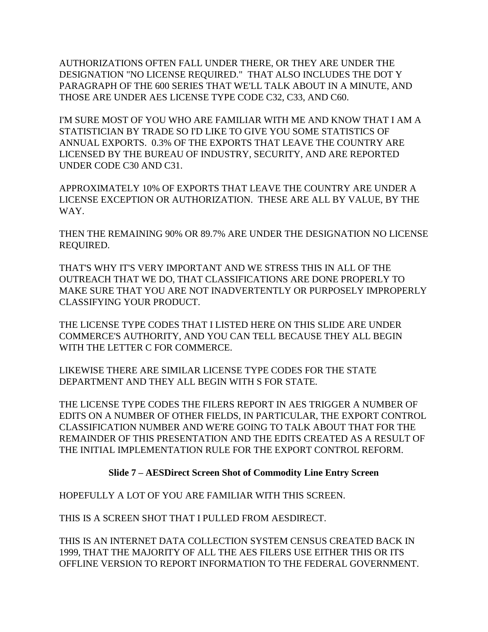AUTHORIZATIONS OFTEN FALL UNDER THERE, OR THEY ARE UNDER THE DESIGNATION "NO LICENSE REQUIRED." THAT ALSO INCLUDES THE DOT Y PARAGRAPH OF THE 600 SERIES THAT WE'LL TALK ABOUT IN A MINUTE, AND THOSE ARE UNDER AES LICENSE TYPE CODE C32, C33, AND C60.

I'M SURE MOST OF YOU WHO ARE FAMILIAR WITH ME AND KNOW THAT I AM A STATISTICIAN BY TRADE SO I'D LIKE TO GIVE YOU SOME STATISTICS OF ANNUAL EXPORTS. 0.3% OF THE EXPORTS THAT LEAVE THE COUNTRY ARE LICENSED BY THE BUREAU OF INDUSTRY, SECURITY, AND ARE REPORTED UNDER CODE C30 AND C31.

APPROXIMATELY 10% OF EXPORTS THAT LEAVE THE COUNTRY ARE UNDER A LICENSE EXCEPTION OR AUTHORIZATION. THESE ARE ALL BY VALUE, BY THE WAY.

THEN THE REMAINING 90% OR 89.7% ARE UNDER THE DESIGNATION NO LICENSE REQUIRED.

THAT'S WHY IT'S VERY IMPORTANT AND WE STRESS THIS IN ALL OF THE OUTREACH THAT WE DO, THAT CLASSIFICATIONS ARE DONE PROPERLY TO MAKE SURE THAT YOU ARE NOT INADVERTENTLY OR PURPOSELY IMPROPERLY CLASSIFYING YOUR PRODUCT.

THE LICENSE TYPE CODES THAT I LISTED HERE ON THIS SLIDE ARE UNDER COMMERCE'S AUTHORITY, AND YOU CAN TELL BECAUSE THEY ALL BEGIN WITH THE LETTER C FOR COMMERCE.

LIKEWISE THERE ARE SIMILAR LICENSE TYPE CODES FOR THE STATE DEPARTMENT AND THEY ALL BEGIN WITH S FOR STATE.

THE LICENSE TYPE CODES THE FILERS REPORT IN AES TRIGGER A NUMBER OF EDITS ON A NUMBER OF OTHER FIELDS, IN PARTICULAR, THE EXPORT CONTROL CLASSIFICATION NUMBER AND WE'RE GOING TO TALK ABOUT THAT FOR THE REMAINDER OF THIS PRESENTATION AND THE EDITS CREATED AS A RESULT OF THE INITIAL IMPLEMENTATION RULE FOR THE EXPORT CONTROL REFORM.

#### **Slide 7 – AESDirect Screen Shot of Commodity Line Entry Screen**

HOPEFULLY A LOT OF YOU ARE FAMILIAR WITH THIS SCREEN.

THIS IS A SCREEN SHOT THAT I PULLED FROM AESDIRECT.

THIS IS AN INTERNET DATA COLLECTION SYSTEM CENSUS CREATED BACK IN 1999, THAT THE MAJORITY OF ALL THE AES FILERS USE EITHER THIS OR ITS OFFLINE VERSION TO REPORT INFORMATION TO THE FEDERAL GOVERNMENT.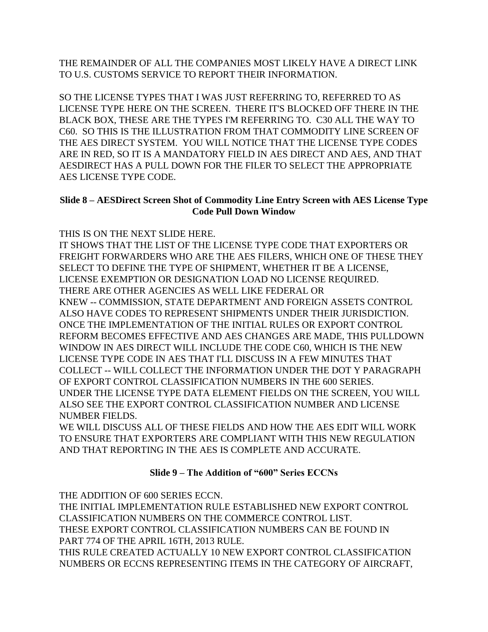THE REMAINDER OF ALL THE COMPANIES MOST LIKELY HAVE A DIRECT LINK TO U.S. CUSTOMS SERVICE TO REPORT THEIR INFORMATION.

SO THE LICENSE TYPES THAT I WAS JUST REFERRING TO, REFERRED TO AS LICENSE TYPE HERE ON THE SCREEN. THERE IT'S BLOCKED OFF THERE IN THE BLACK BOX, THESE ARE THE TYPES I'M REFERRING TO. C30 ALL THE WAY TO C60. SO THIS IS THE ILLUSTRATION FROM THAT COMMODITY LINE SCREEN OF THE AES DIRECT SYSTEM. YOU WILL NOTICE THAT THE LICENSE TYPE CODES ARE IN RED, SO IT IS A MANDATORY FIELD IN AES DIRECT AND AES, AND THAT AESDIRECT HAS A PULL DOWN FOR THE FILER TO SELECT THE APPROPRIATE AES LICENSE TYPE CODE.

## **Slide 8 – AESDirect Screen Shot of Commodity Line Entry Screen with AES License Type Code Pull Down Window**

THIS IS ON THE NEXT SLIDE HERE.

IT SHOWS THAT THE LIST OF THE LICENSE TYPE CODE THAT EXPORTERS OR FREIGHT FORWARDERS WHO ARE THE AES FILERS, WHICH ONE OF THESE THEY SELECT TO DEFINE THE TYPE OF SHIPMENT, WHETHER IT BE A LICENSE, LICENSE EXEMPTION OR DESIGNATION LOAD NO LICENSE REQUIRED. THERE ARE OTHER AGENCIES AS WELL LIKE FEDERAL OR KNEW -- COMMISSION, STATE DEPARTMENT AND FOREIGN ASSETS CONTROL ALSO HAVE CODES TO REPRESENT SHIPMENTS UNDER THEIR JURISDICTION. ONCE THE IMPLEMENTATION OF THE INITIAL RULES OR EXPORT CONTROL REFORM BECOMES EFFECTIVE AND AES CHANGES ARE MADE, THIS PULLDOWN WINDOW IN AES DIRECT WILL INCLUDE THE CODE C60, WHICH IS THE NEW LICENSE TYPE CODE IN AES THAT I'LL DISCUSS IN A FEW MINUTES THAT COLLECT -- WILL COLLECT THE INFORMATION UNDER THE DOT Y PARAGRAPH OF EXPORT CONTROL CLASSIFICATION NUMBERS IN THE 600 SERIES. UNDER THE LICENSE TYPE DATA ELEMENT FIELDS ON THE SCREEN, YOU WILL ALSO SEE THE EXPORT CONTROL CLASSIFICATION NUMBER AND LICENSE NUMBER FIELDS.

WE WILL DISCUSS ALL OF THESE FIELDS AND HOW THE AES EDIT WILL WORK TO ENSURE THAT EXPORTERS ARE COMPLIANT WITH THIS NEW REGULATION AND THAT REPORTING IN THE AES IS COMPLETE AND ACCURATE.

# **Slide 9 – The Addition of "600" Series ECCNs**

THE ADDITION OF 600 SERIES ECCN. THE INITIAL IMPLEMENTATION RULE ESTABLISHED NEW EXPORT CONTROL CLASSIFICATION NUMBERS ON THE COMMERCE CONTROL LIST. THESE EXPORT CONTROL CLASSIFICATION NUMBERS CAN BE FOUND IN PART 774 OF THE APRIL 16TH, 2013 RULE. THIS RULE CREATED ACTUALLY 10 NEW EXPORT CONTROL CLASSIFICATION NUMBERS OR ECCNS REPRESENTING ITEMS IN THE CATEGORY OF AIRCRAFT,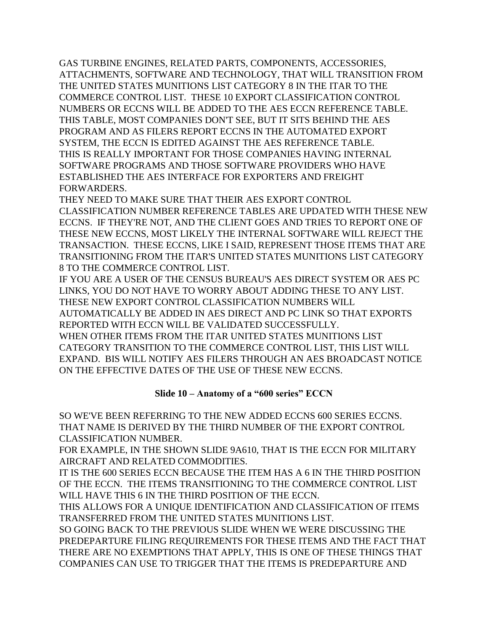GAS TURBINE ENGINES, RELATED PARTS, COMPONENTS, ACCESSORIES, ATTACHMENTS, SOFTWARE AND TECHNOLOGY, THAT WILL TRANSITION FROM THE UNITED STATES MUNITIONS LIST CATEGORY 8 IN THE ITAR TO THE COMMERCE CONTROL LIST. THESE 10 EXPORT CLASSIFICATION CONTROL NUMBERS OR ECCNS WILL BE ADDED TO THE AES ECCN REFERENCE TABLE. THIS TABLE, MOST COMPANIES DON'T SEE, BUT IT SITS BEHIND THE AES PROGRAM AND AS FILERS REPORT ECCNS IN THE AUTOMATED EXPORT SYSTEM, THE ECCN IS EDITED AGAINST THE AES REFERENCE TABLE. THIS IS REALLY IMPORTANT FOR THOSE COMPANIES HAVING INTERNAL SOFTWARE PROGRAMS AND THOSE SOFTWARE PROVIDERS WHO HAVE ESTABLISHED THE AES INTERFACE FOR EXPORTERS AND FREIGHT FORWARDERS.

THEY NEED TO MAKE SURE THAT THEIR AES EXPORT CONTROL

CLASSIFICATION NUMBER REFERENCE TABLES ARE UPDATED WITH THESE NEW ECCNS. IF THEY'RE NOT, AND THE CLIENT GOES AND TRIES TO REPORT ONE OF THESE NEW ECCNS, MOST LIKELY THE INTERNAL SOFTWARE WILL REJECT THE TRANSACTION. THESE ECCNS, LIKE I SAID, REPRESENT THOSE ITEMS THAT ARE TRANSITIONING FROM THE ITAR'S UNITED STATES MUNITIONS LIST CATEGORY 8 TO THE COMMERCE CONTROL LIST.

IF YOU ARE A USER OF THE CENSUS BUREAU'S AES DIRECT SYSTEM OR AES PC LINKS, YOU DO NOT HAVE TO WORRY ABOUT ADDING THESE TO ANY LIST. THESE NEW EXPORT CONTROL CLASSIFICATION NUMBERS WILL

AUTOMATICALLY BE ADDED IN AES DIRECT AND PC LINK SO THAT EXPORTS REPORTED WITH ECCN WILL BE VALIDATED SUCCESSFULLY.

WHEN OTHER ITEMS FROM THE ITAR UNITED STATES MUNITIONS LIST CATEGORY TRANSITION TO THE COMMERCE CONTROL LIST, THIS LIST WILL EXPAND. BIS WILL NOTIFY AES FILERS THROUGH AN AES BROADCAST NOTICE ON THE EFFECTIVE DATES OF THE USE OF THESE NEW ECCNS.

# **Slide 10 – Anatomy of a "600 series" ECCN**

SO WE'VE BEEN REFERRING TO THE NEW ADDED ECCNS 600 SERIES ECCNS. THAT NAME IS DERIVED BY THE THIRD NUMBER OF THE EXPORT CONTROL CLASSIFICATION NUMBER.

FOR EXAMPLE, IN THE SHOWN SLIDE 9A610, THAT IS THE ECCN FOR MILITARY AIRCRAFT AND RELATED COMMODITIES.

IT IS THE 600 SERIES ECCN BECAUSE THE ITEM HAS A 6 IN THE THIRD POSITION OF THE ECCN. THE ITEMS TRANSITIONING TO THE COMMERCE CONTROL LIST WILL HAVE THIS 6 IN THE THIRD POSITION OF THE ECCN.

THIS ALLOWS FOR A UNIQUE IDENTIFICATION AND CLASSIFICATION OF ITEMS TRANSFERRED FROM THE UNITED STATES MUNITIONS LIST.

SO GOING BACK TO THE PREVIOUS SLIDE WHEN WE WERE DISCUSSING THE PREDEPARTURE FILING REQUIREMENTS FOR THESE ITEMS AND THE FACT THAT THERE ARE NO EXEMPTIONS THAT APPLY, THIS IS ONE OF THESE THINGS THAT COMPANIES CAN USE TO TRIGGER THAT THE ITEMS IS PREDEPARTURE AND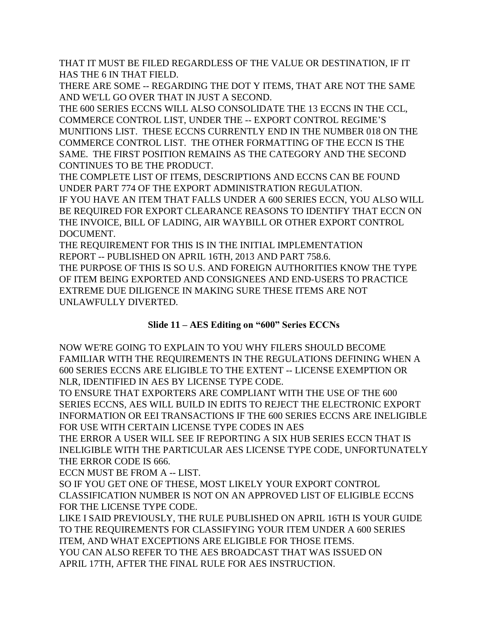THAT IT MUST BE FILED REGARDLESS OF THE VALUE OR DESTINATION, IF IT HAS THE 6 IN THAT FIELD.

THERE ARE SOME -- REGARDING THE DOT Y ITEMS, THAT ARE NOT THE SAME AND WE'LL GO OVER THAT IN JUST A SECOND.

THE 600 SERIES ECCNS WILL ALSO CONSOLIDATE THE 13 ECCNS IN THE CCL, COMMERCE CONTROL LIST, UNDER THE -- EXPORT CONTROL REGIME'S MUNITIONS LIST. THESE ECCNS CURRENTLY END IN THE NUMBER 018 ON THE COMMERCE CONTROL LIST. THE OTHER FORMATTING OF THE ECCN IS THE SAME. THE FIRST POSITION REMAINS AS THE CATEGORY AND THE SECOND CONTINUES TO BE THE PRODUCT.

THE COMPLETE LIST OF ITEMS, DESCRIPTIONS AND ECCNS CAN BE FOUND UNDER PART 774 OF THE EXPORT ADMINISTRATION REGULATION.

IF YOU HAVE AN ITEM THAT FALLS UNDER A 600 SERIES ECCN, YOU ALSO WILL BE REQUIRED FOR EXPORT CLEARANCE REASONS TO IDENTIFY THAT ECCN ON THE INVOICE, BILL OF LADING, AIR WAYBILL OR OTHER EXPORT CONTROL DOCUMENT.

THE REQUIREMENT FOR THIS IS IN THE INITIAL IMPLEMENTATION REPORT -- PUBLISHED ON APRIL 16TH, 2013 AND PART 758.6. THE PURPOSE OF THIS IS SO U.S. AND FOREIGN AUTHORITIES KNOW THE TYPE OF ITEM BEING EXPORTED AND CONSIGNEES AND END-USERS TO PRACTICE EXTREME DUE DILIGENCE IN MAKING SURE THESE ITEMS ARE NOT UNLAWFULLY DIVERTED.

# **Slide 11 – AES Editing on "600" Series ECCNs**

NOW WE'RE GOING TO EXPLAIN TO YOU WHY FILERS SHOULD BECOME FAMILIAR WITH THE REQUIREMENTS IN THE REGULATIONS DEFINING WHEN A 600 SERIES ECCNS ARE ELIGIBLE TO THE EXTENT -- LICENSE EXEMPTION OR NLR, IDENTIFIED IN AES BY LICENSE TYPE CODE.

TO ENSURE THAT EXPORTERS ARE COMPLIANT WITH THE USE OF THE 600 SERIES ECCNS, AES WILL BUILD IN EDITS TO REJECT THE ELECTRONIC EXPORT INFORMATION OR EEI TRANSACTIONS IF THE 600 SERIES ECCNS ARE INELIGIBLE FOR USE WITH CERTAIN LICENSE TYPE CODES IN AES

THE ERROR A USER WILL SEE IF REPORTING A SIX HUB SERIES ECCN THAT IS INELIGIBLE WITH THE PARTICULAR AES LICENSE TYPE CODE, UNFORTUNATELY THE ERROR CODE IS 666.

ECCN MUST BE FROM A -- LIST.

SO IF YOU GET ONE OF THESE, MOST LIKELY YOUR EXPORT CONTROL CLASSIFICATION NUMBER IS NOT ON AN APPROVED LIST OF ELIGIBLE ECCNS FOR THE LICENSE TYPE CODE.

LIKE I SAID PREVIOUSLY, THE RULE PUBLISHED ON APRIL 16TH IS YOUR GUIDE TO THE REQUIREMENTS FOR CLASSIFYING YOUR ITEM UNDER A 600 SERIES ITEM, AND WHAT EXCEPTIONS ARE ELIGIBLE FOR THOSE ITEMS. YOU CAN ALSO REFER TO THE AES BROADCAST THAT WAS ISSUED ON APRIL 17TH, AFTER THE FINAL RULE FOR AES INSTRUCTION.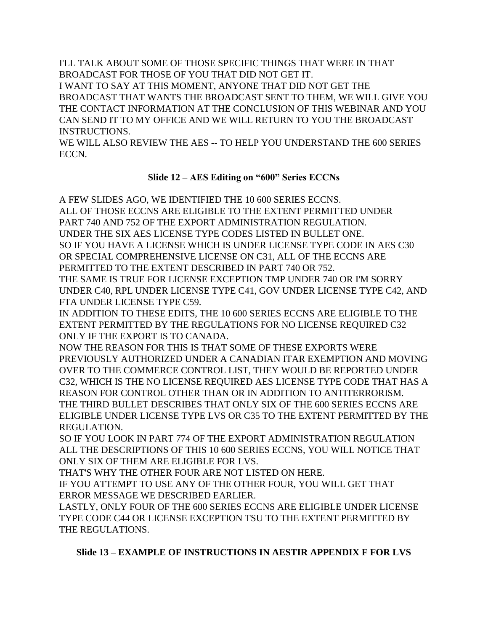I'LL TALK ABOUT SOME OF THOSE SPECIFIC THINGS THAT WERE IN THAT BROADCAST FOR THOSE OF YOU THAT DID NOT GET IT. I WANT TO SAY AT THIS MOMENT, ANYONE THAT DID NOT GET THE BROADCAST THAT WANTS THE BROADCAST SENT TO THEM, WE WILL GIVE YOU THE CONTACT INFORMATION AT THE CONCLUSION OF THIS WEBINAR AND YOU CAN SEND IT TO MY OFFICE AND WE WILL RETURN TO YOU THE BROADCAST INSTRUCTIONS.

WE WILL ALSO REVIEW THE AES -- TO HELP YOU UNDERSTAND THE 600 SERIES ECCN.

## **Slide 12 – AES Editing on "600" Series ECCNs**

A FEW SLIDES AGO, WE IDENTIFIED THE 10 600 SERIES ECCNS. ALL OF THOSE ECCNS ARE ELIGIBLE TO THE EXTENT PERMITTED UNDER PART 740 AND 752 OF THE EXPORT ADMINISTRATION REGULATION. UNDER THE SIX AES LICENSE TYPE CODES LISTED IN BULLET ONE. SO IF YOU HAVE A LICENSE WHICH IS UNDER LICENSE TYPE CODE IN AES C30 OR SPECIAL COMPREHENSIVE LICENSE ON C31, ALL OF THE ECCNS ARE PERMITTED TO THE EXTENT DESCRIBED IN PART 740 OR 752.

THE SAME IS TRUE FOR LICENSE EXCEPTION TMP UNDER 740 OR I'M SORRY UNDER C40, RPL UNDER LICENSE TYPE C41, GOV UNDER LICENSE TYPE C42, AND FTA UNDER LICENSE TYPE C59.

IN ADDITION TO THESE EDITS, THE 10 600 SERIES ECCNS ARE ELIGIBLE TO THE EXTENT PERMITTED BY THE REGULATIONS FOR NO LICENSE REQUIRED C32 ONLY IF THE EXPORT IS TO CANADA.

NOW THE REASON FOR THIS IS THAT SOME OF THESE EXPORTS WERE PREVIOUSLY AUTHORIZED UNDER A CANADIAN ITAR EXEMPTION AND MOVING OVER TO THE COMMERCE CONTROL LIST, THEY WOULD BE REPORTED UNDER C32, WHICH IS THE NO LICENSE REQUIRED AES LICENSE TYPE CODE THAT HAS A REASON FOR CONTROL OTHER THAN OR IN ADDITION TO ANTITERRORISM. THE THIRD BULLET DESCRIBES THAT ONLY SIX OF THE 600 SERIES ECCNS ARE ELIGIBLE UNDER LICENSE TYPE LVS OR C35 TO THE EXTENT PERMITTED BY THE REGULATION.

SO IF YOU LOOK IN PART 774 OF THE EXPORT ADMINISTRATION REGULATION ALL THE DESCRIPTIONS OF THIS 10 600 SERIES ECCNS, YOU WILL NOTICE THAT ONLY SIX OF THEM ARE ELIGIBLE FOR LVS.

THAT'S WHY THE OTHER FOUR ARE NOT LISTED ON HERE.

IF YOU ATTEMPT TO USE ANY OF THE OTHER FOUR, YOU WILL GET THAT ERROR MESSAGE WE DESCRIBED EARLIER.

LASTLY, ONLY FOUR OF THE 600 SERIES ECCNS ARE ELIGIBLE UNDER LICENSE TYPE CODE C44 OR LICENSE EXCEPTION TSU TO THE EXTENT PERMITTED BY THE REGULATIONS.

## **Slide 13 – EXAMPLE OF INSTRUCTIONS IN AESTIR APPENDIX F FOR LVS**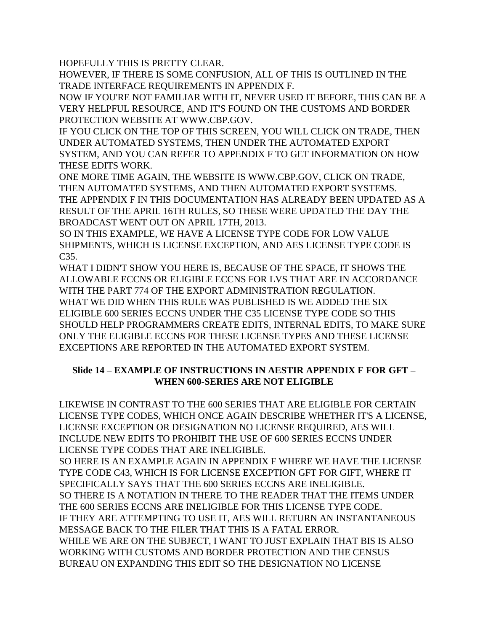HOPEFULLY THIS IS PRETTY CLEAR.

HOWEVER, IF THERE IS SOME CONFUSION, ALL OF THIS IS OUTLINED IN THE TRADE INTERFACE REQUIREMENTS IN APPENDIX F.

NOW IF YOU'RE NOT FAMILIAR WITH IT, NEVER USED IT BEFORE, THIS CAN BE A VERY HELPFUL RESOURCE, AND IT'S FOUND ON THE CUSTOMS AND BORDER PROTECTION WEBSITE AT WWW.CBP.GOV.

IF YOU CLICK ON THE TOP OF THIS SCREEN, YOU WILL CLICK ON TRADE, THEN UNDER AUTOMATED SYSTEMS, THEN UNDER THE AUTOMATED EXPORT SYSTEM, AND YOU CAN REFER TO APPENDIX F TO GET INFORMATION ON HOW THESE EDITS WORK.

ONE MORE TIME AGAIN, THE WEBSITE IS WWW.CBP.GOV, CLICK ON TRADE, THEN AUTOMATED SYSTEMS, AND THEN AUTOMATED EXPORT SYSTEMS. THE APPENDIX F IN THIS DOCUMENTATION HAS ALREADY BEEN UPDATED AS A RESULT OF THE APRIL 16TH RULES, SO THESE WERE UPDATED THE DAY THE BROADCAST WENT OUT ON APRIL 17TH, 2013.

SO IN THIS EXAMPLE, WE HAVE A LICENSE TYPE CODE FOR LOW VALUE SHIPMENTS, WHICH IS LICENSE EXCEPTION, AND AES LICENSE TYPE CODE IS C35.

WHAT I DIDN'T SHOW YOU HERE IS, BECAUSE OF THE SPACE, IT SHOWS THE ALLOWABLE ECCNS OR ELIGIBLE ECCNS FOR LVS THAT ARE IN ACCORDANCE WITH THE PART 774 OF THE EXPORT ADMINISTRATION REGULATION. WHAT WE DID WHEN THIS RULE WAS PUBLISHED IS WE ADDED THE SIX ELIGIBLE 600 SERIES ECCNS UNDER THE C35 LICENSE TYPE CODE SO THIS SHOULD HELP PROGRAMMERS CREATE EDITS, INTERNAL EDITS, TO MAKE SURE ONLY THE ELIGIBLE ECCNS FOR THESE LICENSE TYPES AND THESE LICENSE EXCEPTIONS ARE REPORTED IN THE AUTOMATED EXPORT SYSTEM.

## **Slide 14 – EXAMPLE OF INSTRUCTIONS IN AESTIR APPENDIX F FOR GFT – WHEN 600-SERIES ARE NOT ELIGIBLE**

LIKEWISE IN CONTRAST TO THE 600 SERIES THAT ARE ELIGIBLE FOR CERTAIN LICENSE TYPE CODES, WHICH ONCE AGAIN DESCRIBE WHETHER IT'S A LICENSE, LICENSE EXCEPTION OR DESIGNATION NO LICENSE REQUIRED, AES WILL INCLUDE NEW EDITS TO PROHIBIT THE USE OF 600 SERIES ECCNS UNDER LICENSE TYPE CODES THAT ARE INELIGIBLE.

SO HERE IS AN EXAMPLE AGAIN IN APPENDIX F WHERE WE HAVE THE LICENSE TYPE CODE C43, WHICH IS FOR LICENSE EXCEPTION GFT FOR GIFT, WHERE IT SPECIFICALLY SAYS THAT THE 600 SERIES ECCNS ARE INELIGIBLE. SO THERE IS A NOTATION IN THERE TO THE READER THAT THE ITEMS UNDER THE 600 SERIES ECCNS ARE INELIGIBLE FOR THIS LICENSE TYPE CODE. IF THEY ARE ATTEMPTING TO USE IT, AES WILL RETURN AN INSTANTANEOUS MESSAGE BACK TO THE FILER THAT THIS IS A FATAL ERROR. WHILE WE ARE ON THE SUBJECT, I WANT TO JUST EXPLAIN THAT BIS IS ALSO WORKING WITH CUSTOMS AND BORDER PROTECTION AND THE CENSUS BUREAU ON EXPANDING THIS EDIT SO THE DESIGNATION NO LICENSE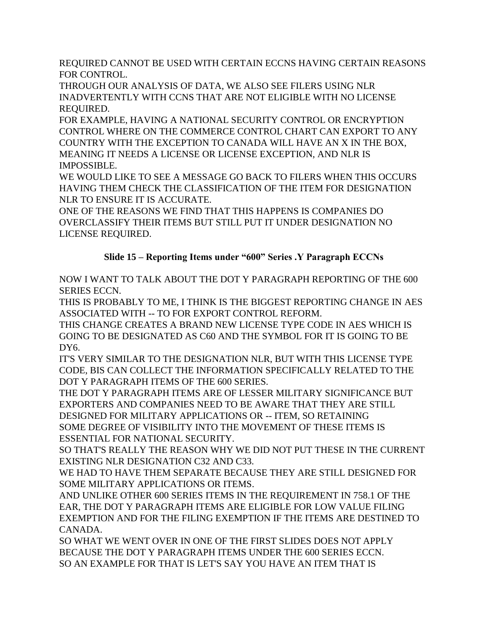REQUIRED CANNOT BE USED WITH CERTAIN ECCNS HAVING CERTAIN REASONS FOR CONTROL.

THROUGH OUR ANALYSIS OF DATA, WE ALSO SEE FILERS USING NLR INADVERTENTLY WITH CCNS THAT ARE NOT ELIGIBLE WITH NO LICENSE REQUIRED.

FOR EXAMPLE, HAVING A NATIONAL SECURITY CONTROL OR ENCRYPTION CONTROL WHERE ON THE COMMERCE CONTROL CHART CAN EXPORT TO ANY COUNTRY WITH THE EXCEPTION TO CANADA WILL HAVE AN X IN THE BOX, MEANING IT NEEDS A LICENSE OR LICENSE EXCEPTION, AND NLR IS IMPOSSIBLE.

WE WOULD LIKE TO SEE A MESSAGE GO BACK TO FILERS WHEN THIS OCCURS HAVING THEM CHECK THE CLASSIFICATION OF THE ITEM FOR DESIGNATION NLR TO ENSURE IT IS ACCURATE.

ONE OF THE REASONS WE FIND THAT THIS HAPPENS IS COMPANIES DO OVERCLASSIFY THEIR ITEMS BUT STILL PUT IT UNDER DESIGNATION NO LICENSE REQUIRED.

# **Slide 15 – Reporting Items under "600" Series .Y Paragraph ECCNs**

NOW I WANT TO TALK ABOUT THE DOT Y PARAGRAPH REPORTING OF THE 600 SERIES ECCN.

THIS IS PROBABLY TO ME, I THINK IS THE BIGGEST REPORTING CHANGE IN AES ASSOCIATED WITH -- TO FOR EXPORT CONTROL REFORM.

THIS CHANGE CREATES A BRAND NEW LICENSE TYPE CODE IN AES WHICH IS GOING TO BE DESIGNATED AS C60 AND THE SYMBOL FOR IT IS GOING TO BE DY6.

IT'S VERY SIMILAR TO THE DESIGNATION NLR, BUT WITH THIS LICENSE TYPE CODE, BIS CAN COLLECT THE INFORMATION SPECIFICALLY RELATED TO THE DOT Y PARAGRAPH ITEMS OF THE 600 SERIES.

THE DOT Y PARAGRAPH ITEMS ARE OF LESSER MILITARY SIGNIFICANCE BUT EXPORTERS AND COMPANIES NEED TO BE AWARE THAT THEY ARE STILL DESIGNED FOR MILITARY APPLICATIONS OR -- ITEM, SO RETAINING SOME DEGREE OF VISIBILITY INTO THE MOVEMENT OF THESE ITEMS IS

ESSENTIAL FOR NATIONAL SECURITY.

SO THAT'S REALLY THE REASON WHY WE DID NOT PUT THESE IN THE CURRENT EXISTING NLR DESIGNATION C32 AND C33.

WE HAD TO HAVE THEM SEPARATE BECAUSE THEY ARE STILL DESIGNED FOR SOME MILITARY APPLICATIONS OR ITEMS.

AND UNLIKE OTHER 600 SERIES ITEMS IN THE REQUIREMENT IN 758.1 OF THE EAR, THE DOT Y PARAGRAPH ITEMS ARE ELIGIBLE FOR LOW VALUE FILING EXEMPTION AND FOR THE FILING EXEMPTION IF THE ITEMS ARE DESTINED TO CANADA.

SO WHAT WE WENT OVER IN ONE OF THE FIRST SLIDES DOES NOT APPLY BECAUSE THE DOT Y PARAGRAPH ITEMS UNDER THE 600 SERIES ECCN. SO AN EXAMPLE FOR THAT IS LET'S SAY YOU HAVE AN ITEM THAT IS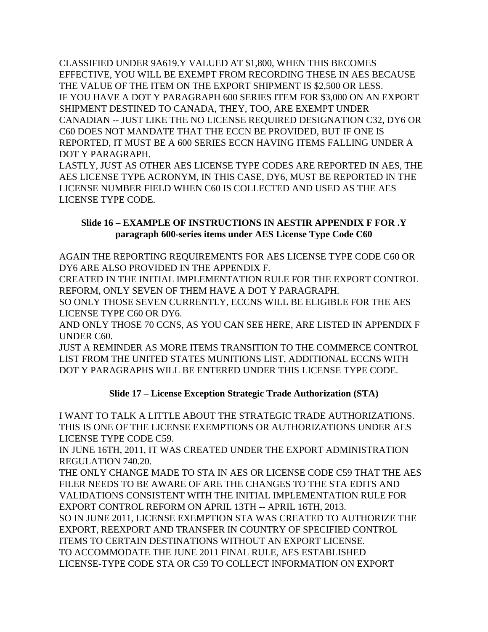CLASSIFIED UNDER 9A619.Y VALUED AT \$1,800, WHEN THIS BECOMES EFFECTIVE, YOU WILL BE EXEMPT FROM RECORDING THESE IN AES BECAUSE THE VALUE OF THE ITEM ON THE EXPORT SHIPMENT IS \$2,500 OR LESS. IF YOU HAVE A DOT Y PARAGRAPH 600 SERIES ITEM FOR \$3,000 ON AN EXPORT SHIPMENT DESTINED TO CANADA, THEY, TOO, ARE EXEMPT UNDER CANADIAN -- JUST LIKE THE NO LICENSE REQUIRED DESIGNATION C32, DY6 OR C60 DOES NOT MANDATE THAT THE ECCN BE PROVIDED, BUT IF ONE IS REPORTED, IT MUST BE A 600 SERIES ECCN HAVING ITEMS FALLING UNDER A DOT Y PARAGRAPH.

LASTLY, JUST AS OTHER AES LICENSE TYPE CODES ARE REPORTED IN AES, THE AES LICENSE TYPE ACRONYM, IN THIS CASE, DY6, MUST BE REPORTED IN THE LICENSE NUMBER FIELD WHEN C60 IS COLLECTED AND USED AS THE AES LICENSE TYPE CODE.

#### **Slide 16 – EXAMPLE OF INSTRUCTIONS IN AESTIR APPENDIX F FOR .Y paragraph 600-series items under AES License Type Code C60**

AGAIN THE REPORTING REQUIREMENTS FOR AES LICENSE TYPE CODE C60 OR DY6 ARE ALSO PROVIDED IN THE APPENDIX F.

CREATED IN THE INITIAL IMPLEMENTATION RULE FOR THE EXPORT CONTROL REFORM, ONLY SEVEN OF THEM HAVE A DOT Y PARAGRAPH.

SO ONLY THOSE SEVEN CURRENTLY, ECCNS WILL BE ELIGIBLE FOR THE AES LICENSE TYPE C60 OR DY6.

AND ONLY THOSE 70 CCNS, AS YOU CAN SEE HERE, ARE LISTED IN APPENDIX F UNDER C60.

JUST A REMINDER AS MORE ITEMS TRANSITION TO THE COMMERCE CONTROL LIST FROM THE UNITED STATES MUNITIONS LIST, ADDITIONAL ECCNS WITH DOT Y PARAGRAPHS WILL BE ENTERED UNDER THIS LICENSE TYPE CODE.

# **Slide 17 – License Exception Strategic Trade Authorization (STA)**

I WANT TO TALK A LITTLE ABOUT THE STRATEGIC TRADE AUTHORIZATIONS. THIS IS ONE OF THE LICENSE EXEMPTIONS OR AUTHORIZATIONS UNDER AES LICENSE TYPE CODE C59.

IN JUNE 16TH, 2011, IT WAS CREATED UNDER THE EXPORT ADMINISTRATION REGULATION 740.20.

THE ONLY CHANGE MADE TO STA IN AES OR LICENSE CODE C59 THAT THE AES FILER NEEDS TO BE AWARE OF ARE THE CHANGES TO THE STA EDITS AND VALIDATIONS CONSISTENT WITH THE INITIAL IMPLEMENTATION RULE FOR EXPORT CONTROL REFORM ON APRIL 13TH -- APRIL 16TH, 2013.

SO IN JUNE 2011, LICENSE EXEMPTION STA WAS CREATED TO AUTHORIZE THE EXPORT, REEXPORT AND TRANSFER IN COUNTRY OF SPECIFIED CONTROL ITEMS TO CERTAIN DESTINATIONS WITHOUT AN EXPORT LICENSE. TO ACCOMMODATE THE JUNE 2011 FINAL RULE, AES ESTABLISHED LICENSE-TYPE CODE STA OR C59 TO COLLECT INFORMATION ON EXPORT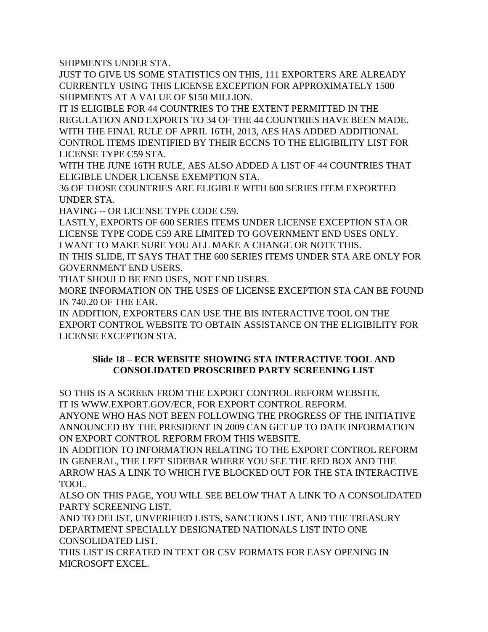SHIPMENTS UNDER STA.

JUST TO GIVE US SOME STATISTICS ON THIS, 111 EXPORTERS ARE ALREADY CURRENTLY USING THIS LICENSE EXCEPTION FOR APPROXIMATELY 1500 SHIPMENTS AT A VALUE OF \$150 MILLION.

IT IS ELIGIBLE FOR 44 COUNTRIES TO THE EXTENT PERMITTED IN THE REGULATION AND EXPORTS TO 34 OF THE 44 COUNTRIES HAVE BEEN MADE. WITH THE FINAL RULE OF APRIL 16TH, 2013, AES HAS ADDED ADDITIONAL CONTROL ITEMS IDENTIFIED BY THEIR ECCNS TO THE ELIGIBILITY LIST FOR LICENSE TYPE C59 STA.

WITH THE JUNE 16TH RULE, AES ALSO ADDED A LIST OF 44 COUNTRIES THAT ELIGIBLE UNDER LICENSE EXEMPTION STA.

36 OF THOSE COUNTRIES ARE ELIGIBLE WITH 600 SERIES ITEM EXPORTED UNDER STA.

HAVING -- OR LICENSE TYPE CODE C59.

LASTLY, EXPORTS OF 600 SERIES ITEMS UNDER LICENSE EXCEPTION STA OR LICENSE TYPE CODE C59 ARE LIMITED TO GOVERNMENT END USES ONLY. I WANT TO MAKE SURE YOU ALL MAKE A CHANGE OR NOTE THIS.

IN THIS SLIDE, IT SAYS THAT THE 600 SERIES ITEMS UNDER STA ARE ONLY FOR GOVERNMENT END USERS.

THAT SHOULD BE END USES, NOT END USERS.

MORE INFORMATION ON THE USES OF LICENSE EXCEPTION STA CAN BE FOUND IN 740.20 OF THE EAR.

IN ADDITION, EXPORTERS CAN USE THE BIS INTERACTIVE TOOL ON THE EXPORT CONTROL WEBSITE TO OBTAIN ASSISTANCE ON THE ELIGIBILITY FOR LICENSE EXCEPTION STA.

#### **Slide 18 – ECR WEBSITE SHOWING STA INTERACTIVE TOOL AND CONSOLIDATED PROSCRIBED PARTY SCREENING LIST**

SO THIS IS A SCREEN FROM THE EXPORT CONTROL REFORM WEBSITE. IT IS WWW.EXPORT.GOV/ECR, FOR EXPORT CONTROL REFORM. ANYONE WHO HAS NOT BEEN FOLLOWING THE PROGRESS OF THE INITIATIVE

ANNOUNCED BY THE PRESIDENT IN 2009 CAN GET UP TO DATE INFORMATION ON EXPORT CONTROL REFORM FROM THIS WEBSITE.

IN ADDITION TO INFORMATION RELATING TO THE EXPORT CONTROL REFORM IN GENERAL, THE LEFT SIDEBAR WHERE YOU SEE THE RED BOX AND THE ARROW HAS A LINK TO WHICH I'VE BLOCKED OUT FOR THE STA INTERACTIVE TOOL.

ALSO ON THIS PAGE, YOU WILL SEE BELOW THAT A LINK TO A CONSOLIDATED PARTY SCREENING LIST.

AND TO DELIST, UNVERIFIED LISTS, SANCTIONS LIST, AND THE TREASURY DEPARTMENT SPECIALLY DESIGNATED NATIONALS LIST INTO ONE CONSOLIDATED LIST.

THIS LIST IS CREATED IN TEXT OR CSV FORMATS FOR EASY OPENING IN MICROSOFT EXCEL.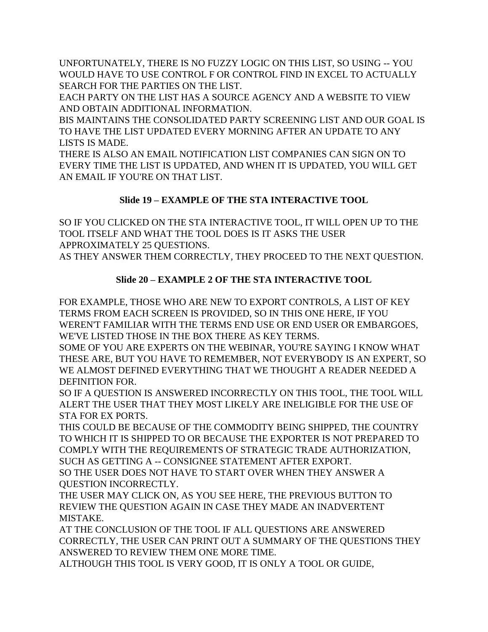UNFORTUNATELY, THERE IS NO FUZZY LOGIC ON THIS LIST, SO USING -- YOU WOULD HAVE TO USE CONTROL F OR CONTROL FIND IN EXCEL TO ACTUALLY SEARCH FOR THE PARTIES ON THE LIST.

EACH PARTY ON THE LIST HAS A SOURCE AGENCY AND A WEBSITE TO VIEW AND OBTAIN ADDITIONAL INFORMATION.

BIS MAINTAINS THE CONSOLIDATED PARTY SCREENING LIST AND OUR GOAL IS TO HAVE THE LIST UPDATED EVERY MORNING AFTER AN UPDATE TO ANY LISTS IS MADE.

THERE IS ALSO AN EMAIL NOTIFICATION LIST COMPANIES CAN SIGN ON TO EVERY TIME THE LIST IS UPDATED, AND WHEN IT IS UPDATED, YOU WILL GET AN EMAIL IF YOU'RE ON THAT LIST.

# **Slide 19 – EXAMPLE OF THE STA INTERACTIVE TOOL**

SO IF YOU CLICKED ON THE STA INTERACTIVE TOOL, IT WILL OPEN UP TO THE TOOL ITSELF AND WHAT THE TOOL DOES IS IT ASKS THE USER APPROXIMATELY 25 QUESTIONS.

AS THEY ANSWER THEM CORRECTLY, THEY PROCEED TO THE NEXT QUESTION.

# **Slide 20 – EXAMPLE 2 OF THE STA INTERACTIVE TOOL**

FOR EXAMPLE, THOSE WHO ARE NEW TO EXPORT CONTROLS, A LIST OF KEY TERMS FROM EACH SCREEN IS PROVIDED, SO IN THIS ONE HERE, IF YOU WEREN'T FAMILIAR WITH THE TERMS END USE OR END USER OR EMBARGOES, WE'VE LISTED THOSE IN THE BOX THERE AS KEY TERMS.

SOME OF YOU ARE EXPERTS ON THE WEBINAR, YOU'RE SAYING I KNOW WHAT THESE ARE, BUT YOU HAVE TO REMEMBER, NOT EVERYBODY IS AN EXPERT, SO WE ALMOST DEFINED EVERYTHING THAT WE THOUGHT A READER NEEDED A DEFINITION FOR.

SO IF A QUESTION IS ANSWERED INCORRECTLY ON THIS TOOL, THE TOOL WILL ALERT THE USER THAT THEY MOST LIKELY ARE INELIGIBLE FOR THE USE OF STA FOR EX PORTS.

THIS COULD BE BECAUSE OF THE COMMODITY BEING SHIPPED, THE COUNTRY TO WHICH IT IS SHIPPED TO OR BECAUSE THE EXPORTER IS NOT PREPARED TO COMPLY WITH THE REQUIREMENTS OF STRATEGIC TRADE AUTHORIZATION, SUCH AS GETTING A -- CONSIGNEE STATEMENT AFTER EXPORT.

SO THE USER DOES NOT HAVE TO START OVER WHEN THEY ANSWER A QUESTION INCORRECTLY.

THE USER MAY CLICK ON, AS YOU SEE HERE, THE PREVIOUS BUTTON TO REVIEW THE QUESTION AGAIN IN CASE THEY MADE AN INADVERTENT MISTAKE.

AT THE CONCLUSION OF THE TOOL IF ALL QUESTIONS ARE ANSWERED CORRECTLY, THE USER CAN PRINT OUT A SUMMARY OF THE QUESTIONS THEY ANSWERED TO REVIEW THEM ONE MORE TIME.

ALTHOUGH THIS TOOL IS VERY GOOD, IT IS ONLY A TOOL OR GUIDE,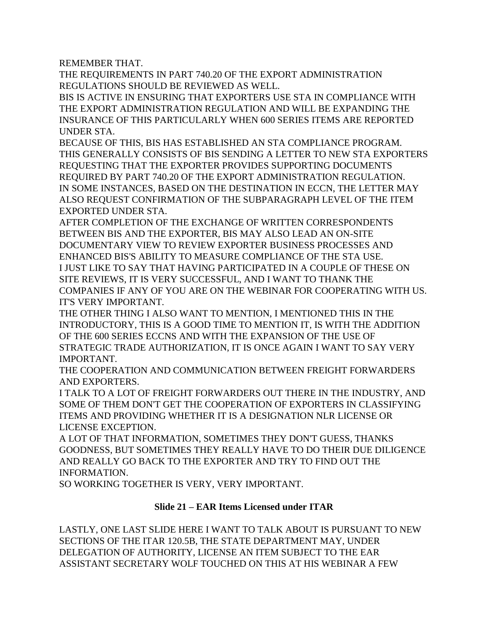REMEMBER THAT.

THE REQUIREMENTS IN PART 740.20 OF THE EXPORT ADMINISTRATION REGULATIONS SHOULD BE REVIEWED AS WELL.

BIS IS ACTIVE IN ENSURING THAT EXPORTERS USE STA IN COMPLIANCE WITH THE EXPORT ADMINISTRATION REGULATION AND WILL BE EXPANDING THE INSURANCE OF THIS PARTICULARLY WHEN 600 SERIES ITEMS ARE REPORTED UNDER STA.

BECAUSE OF THIS, BIS HAS ESTABLISHED AN STA COMPLIANCE PROGRAM. THIS GENERALLY CONSISTS OF BIS SENDING A LETTER TO NEW STA EXPORTERS REQUESTING THAT THE EXPORTER PROVIDES SUPPORTING DOCUMENTS REQUIRED BY PART 740.20 OF THE EXPORT ADMINISTRATION REGULATION. IN SOME INSTANCES, BASED ON THE DESTINATION IN ECCN, THE LETTER MAY ALSO REQUEST CONFIRMATION OF THE SUBPARAGRAPH LEVEL OF THE ITEM EXPORTED UNDER STA.

AFTER COMPLETION OF THE EXCHANGE OF WRITTEN CORRESPONDENTS BETWEEN BIS AND THE EXPORTER, BIS MAY ALSO LEAD AN ON-SITE DOCUMENTARY VIEW TO REVIEW EXPORTER BUSINESS PROCESSES AND ENHANCED BIS'S ABILITY TO MEASURE COMPLIANCE OF THE STA USE. I JUST LIKE TO SAY THAT HAVING PARTICIPATED IN A COUPLE OF THESE ON SITE REVIEWS, IT IS VERY SUCCESSFUL, AND I WANT TO THANK THE COMPANIES IF ANY OF YOU ARE ON THE WEBINAR FOR COOPERATING WITH US. IT'S VERY IMPORTANT.

THE OTHER THING I ALSO WANT TO MENTION, I MENTIONED THIS IN THE INTRODUCTORY, THIS IS A GOOD TIME TO MENTION IT, IS WITH THE ADDITION OF THE 600 SERIES ECCNS AND WITH THE EXPANSION OF THE USE OF STRATEGIC TRADE AUTHORIZATION, IT IS ONCE AGAIN I WANT TO SAY VERY IMPORTANT.

THE COOPERATION AND COMMUNICATION BETWEEN FREIGHT FORWARDERS AND EXPORTERS.

I TALK TO A LOT OF FREIGHT FORWARDERS OUT THERE IN THE INDUSTRY, AND SOME OF THEM DON'T GET THE COOPERATION OF EXPORTERS IN CLASSIFYING ITEMS AND PROVIDING WHETHER IT IS A DESIGNATION NLR LICENSE OR LICENSE EXCEPTION.

A LOT OF THAT INFORMATION, SOMETIMES THEY DON'T GUESS, THANKS GOODNESS, BUT SOMETIMES THEY REALLY HAVE TO DO THEIR DUE DILIGENCE AND REALLY GO BACK TO THE EXPORTER AND TRY TO FIND OUT THE INFORMATION.

SO WORKING TOGETHER IS VERY, VERY IMPORTANT.

## **Slide 21 – EAR Items Licensed under ITAR**

LASTLY, ONE LAST SLIDE HERE I WANT TO TALK ABOUT IS PURSUANT TO NEW SECTIONS OF THE ITAR 120.5B, THE STATE DEPARTMENT MAY, UNDER DELEGATION OF AUTHORITY, LICENSE AN ITEM SUBJECT TO THE EAR ASSISTANT SECRETARY WOLF TOUCHED ON THIS AT HIS WEBINAR A FEW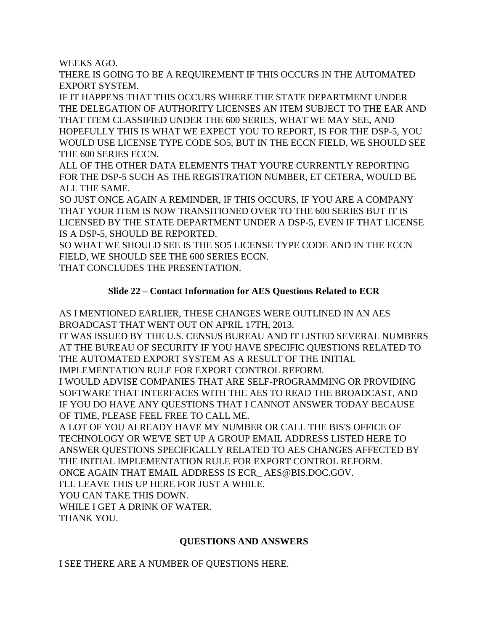WEEKS AGO.

THERE IS GOING TO BE A REQUIREMENT IF THIS OCCURS IN THE AUTOMATED EXPORT SYSTEM.

IF IT HAPPENS THAT THIS OCCURS WHERE THE STATE DEPARTMENT UNDER THE DELEGATION OF AUTHORITY LICENSES AN ITEM SUBJECT TO THE EAR AND THAT ITEM CLASSIFIED UNDER THE 600 SERIES, WHAT WE MAY SEE, AND HOPEFULLY THIS IS WHAT WE EXPECT YOU TO REPORT, IS FOR THE DSP-5, YOU WOULD USE LICENSE TYPE CODE SO5, BUT IN THE ECCN FIELD, WE SHOULD SEE THE 600 SERIES ECCN.

ALL OF THE OTHER DATA ELEMENTS THAT YOU'RE CURRENTLY REPORTING FOR THE DSP-5 SUCH AS THE REGISTRATION NUMBER, ET CETERA, WOULD BE ALL THE SAME.

SO JUST ONCE AGAIN A REMINDER, IF THIS OCCURS, IF YOU ARE A COMPANY THAT YOUR ITEM IS NOW TRANSITIONED OVER TO THE 600 SERIES BUT IT IS LICENSED BY THE STATE DEPARTMENT UNDER A DSP-5, EVEN IF THAT LICENSE IS A DSP-5, SHOULD BE REPORTED.

SO WHAT WE SHOULD SEE IS THE SO5 LICENSE TYPE CODE AND IN THE ECCN FIELD, WE SHOULD SEE THE 600 SERIES ECCN.

THAT CONCLUDES THE PRESENTATION.

## **Slide 22 – Contact Information for AES Questions Related to ECR**

AS I MENTIONED EARLIER, THESE CHANGES WERE OUTLINED IN AN AES BROADCAST THAT WENT OUT ON APRIL 17TH, 2013.

IT WAS ISSUED BY THE U.S. CENSUS BUREAU AND IT LISTED SEVERAL NUMBERS AT THE BUREAU OF SECURITY IF YOU HAVE SPECIFIC QUESTIONS RELATED TO THE AUTOMATED EXPORT SYSTEM AS A RESULT OF THE INITIAL

IMPLEMENTATION RULE FOR EXPORT CONTROL REFORM.

I WOULD ADVISE COMPANIES THAT ARE SELF-PROGRAMMING OR PROVIDING SOFTWARE THAT INTERFACES WITH THE AES TO READ THE BROADCAST, AND IF YOU DO HAVE ANY QUESTIONS THAT I CANNOT ANSWER TODAY BECAUSE OF TIME, PLEASE FEEL FREE TO CALL ME.

A LOT OF YOU ALREADY HAVE MY NUMBER OR CALL THE BIS'S OFFICE OF TECHNOLOGY OR WE'VE SET UP A GROUP EMAIL ADDRESS LISTED HERE TO ANSWER QUESTIONS SPECIFICALLY RELATED TO AES CHANGES AFFECTED BY THE INITIAL IMPLEMENTATION RULE FOR EXPORT CONTROL REFORM. ONCE AGAIN THAT EMAIL ADDRESS IS ECR\_ AES@BIS.DOC.GOV. I'LL LEAVE THIS UP HERE FOR JUST A WHILE. YOU CAN TAKE THIS DOWN. WHILE I GET A DRINK OF WATER.

THANK YOU.

## **QUESTIONS AND ANSWERS**

I SEE THERE ARE A NUMBER OF QUESTIONS HERE.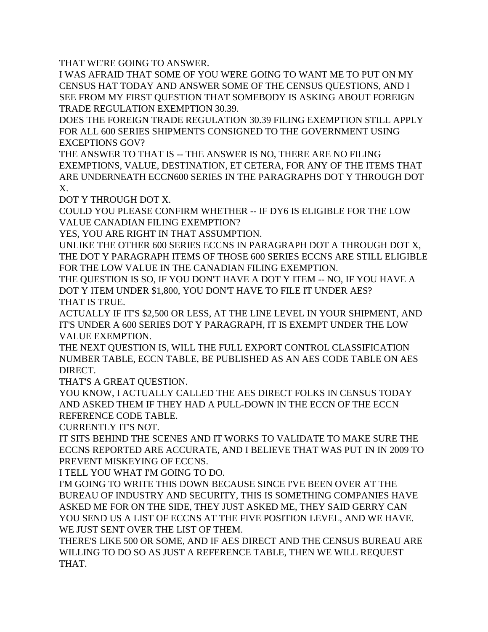THAT WE'RE GOING TO ANSWER.

I WAS AFRAID THAT SOME OF YOU WERE GOING TO WANT ME TO PUT ON MY CENSUS HAT TODAY AND ANSWER SOME OF THE CENSUS QUESTIONS, AND I SEE FROM MY FIRST QUESTION THAT SOMEBODY IS ASKING ABOUT FOREIGN TRADE REGULATION EXEMPTION 30.39.

DOES THE FOREIGN TRADE REGULATION 30.39 FILING EXEMPTION STILL APPLY FOR ALL 600 SERIES SHIPMENTS CONSIGNED TO THE GOVERNMENT USING EXCEPTIONS GOV?

THE ANSWER TO THAT IS -- THE ANSWER IS NO, THERE ARE NO FILING EXEMPTIONS, VALUE, DESTINATION, ET CETERA, FOR ANY OF THE ITEMS THAT ARE UNDERNEATH ECCN600 SERIES IN THE PARAGRAPHS DOT Y THROUGH DOT X.

DOT Y THROUGH DOT X.

COULD YOU PLEASE CONFIRM WHETHER -- IF DY6 IS ELIGIBLE FOR THE LOW VALUE CANADIAN FILING EXEMPTION?

YES, YOU ARE RIGHT IN THAT ASSUMPTION.

UNLIKE THE OTHER 600 SERIES ECCNS IN PARAGRAPH DOT A THROUGH DOT X, THE DOT Y PARAGRAPH ITEMS OF THOSE 600 SERIES ECCNS ARE STILL ELIGIBLE FOR THE LOW VALUE IN THE CANADIAN FILING EXEMPTION.

THE QUESTION IS SO, IF YOU DON'T HAVE A DOT Y ITEM -- NO, IF YOU HAVE A DOT Y ITEM UNDER \$1,800, YOU DON'T HAVE TO FILE IT UNDER AES? THAT IS TRUE.

ACTUALLY IF IT'S \$2,500 OR LESS, AT THE LINE LEVEL IN YOUR SHIPMENT, AND IT'S UNDER A 600 SERIES DOT Y PARAGRAPH, IT IS EXEMPT UNDER THE LOW VALUE EXEMPTION.

THE NEXT QUESTION IS, WILL THE FULL EXPORT CONTROL CLASSIFICATION NUMBER TABLE, ECCN TABLE, BE PUBLISHED AS AN AES CODE TABLE ON AES DIRECT.

THAT'S A GREAT QUESTION.

YOU KNOW, I ACTUALLY CALLED THE AES DIRECT FOLKS IN CENSUS TODAY AND ASKED THEM IF THEY HAD A PULL-DOWN IN THE ECCN OF THE ECCN REFERENCE CODE TABLE.

CURRENTLY IT'S NOT.

IT SITS BEHIND THE SCENES AND IT WORKS TO VALIDATE TO MAKE SURE THE ECCNS REPORTED ARE ACCURATE, AND I BELIEVE THAT WAS PUT IN IN 2009 TO PREVENT MISKEYING OF ECCNS.

I TELL YOU WHAT I'M GOING TO DO.

I'M GOING TO WRITE THIS DOWN BECAUSE SINCE I'VE BEEN OVER AT THE BUREAU OF INDUSTRY AND SECURITY, THIS IS SOMETHING COMPANIES HAVE ASKED ME FOR ON THE SIDE, THEY JUST ASKED ME, THEY SAID GERRY CAN YOU SEND US A LIST OF ECCNS AT THE FIVE POSITION LEVEL, AND WE HAVE. WE JUST SENT OVER THE LIST OF THEM.

THERE'S LIKE 500 OR SOME, AND IF AES DIRECT AND THE CENSUS BUREAU ARE WILLING TO DO SO AS JUST A REFERENCE TABLE, THEN WE WILL REQUEST THAT.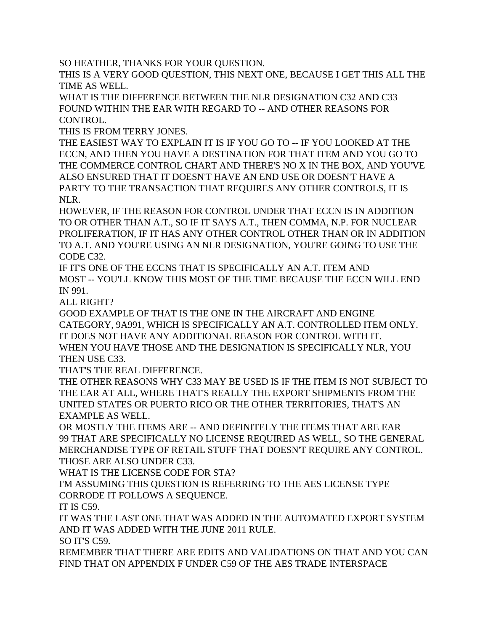SO HEATHER, THANKS FOR YOUR QUESTION.

THIS IS A VERY GOOD QUESTION, THIS NEXT ONE, BECAUSE I GET THIS ALL THE TIME AS WELL.

WHAT IS THE DIFFERENCE BETWEEN THE NLR DESIGNATION C32 AND C33 FOUND WITHIN THE EAR WITH REGARD TO -- AND OTHER REASONS FOR CONTROL.

THIS IS FROM TERRY JONES.

THE EASIEST WAY TO EXPLAIN IT IS IF YOU GO TO -- IF YOU LOOKED AT THE ECCN, AND THEN YOU HAVE A DESTINATION FOR THAT ITEM AND YOU GO TO THE COMMERCE CONTROL CHART AND THERE'S NO X IN THE BOX, AND YOU'VE ALSO ENSURED THAT IT DOESN'T HAVE AN END USE OR DOESN'T HAVE A PARTY TO THE TRANSACTION THAT REQUIRES ANY OTHER CONTROLS, IT IS NLR.

HOWEVER, IF THE REASON FOR CONTROL UNDER THAT ECCN IS IN ADDITION TO OR OTHER THAN A.T., SO IF IT SAYS A.T., THEN COMMA, N.P. FOR NUCLEAR PROLIFERATION, IF IT HAS ANY OTHER CONTROL OTHER THAN OR IN ADDITION TO A.T. AND YOU'RE USING AN NLR DESIGNATION, YOU'RE GOING TO USE THE CODE C32.

IF IT'S ONE OF THE ECCNS THAT IS SPECIFICALLY AN A.T. ITEM AND MOST -- YOU'LL KNOW THIS MOST OF THE TIME BECAUSE THE ECCN WILL END IN 991.

ALL RIGHT?

GOOD EXAMPLE OF THAT IS THE ONE IN THE AIRCRAFT AND ENGINE CATEGORY, 9A991, WHICH IS SPECIFICALLY AN A.T. CONTROLLED ITEM ONLY. IT DOES NOT HAVE ANY ADDITIONAL REASON FOR CONTROL WITH IT. WHEN YOU HAVE THOSE AND THE DESIGNATION IS SPECIFICALLY NLR, YOU THEN USE C33.

THAT'S THE REAL DIFFERENCE.

THE OTHER REASONS WHY C33 MAY BE USED IS IF THE ITEM IS NOT SUBJECT TO THE EAR AT ALL, WHERE THAT'S REALLY THE EXPORT SHIPMENTS FROM THE UNITED STATES OR PUERTO RICO OR THE OTHER TERRITORIES, THAT'S AN EXAMPLE AS WELL.

OR MOSTLY THE ITEMS ARE -- AND DEFINITELY THE ITEMS THAT ARE EAR 99 THAT ARE SPECIFICALLY NO LICENSE REQUIRED AS WELL, SO THE GENERAL MERCHANDISE TYPE OF RETAIL STUFF THAT DOESN'T REQUIRE ANY CONTROL. THOSE ARE ALSO UNDER C33.

WHAT IS THE LICENSE CODE FOR STA?

I'M ASSUMING THIS QUESTION IS REFERRING TO THE AES LICENSE TYPE CORRODE IT FOLLOWS A SEQUENCE.

IT IS C59.

IT WAS THE LAST ONE THAT WAS ADDED IN THE AUTOMATED EXPORT SYSTEM AND IT WAS ADDED WITH THE JUNE 2011 RULE.

SO IT'S C59.

REMEMBER THAT THERE ARE EDITS AND VALIDATIONS ON THAT AND YOU CAN FIND THAT ON APPENDIX F UNDER C59 OF THE AES TRADE INTERSPACE